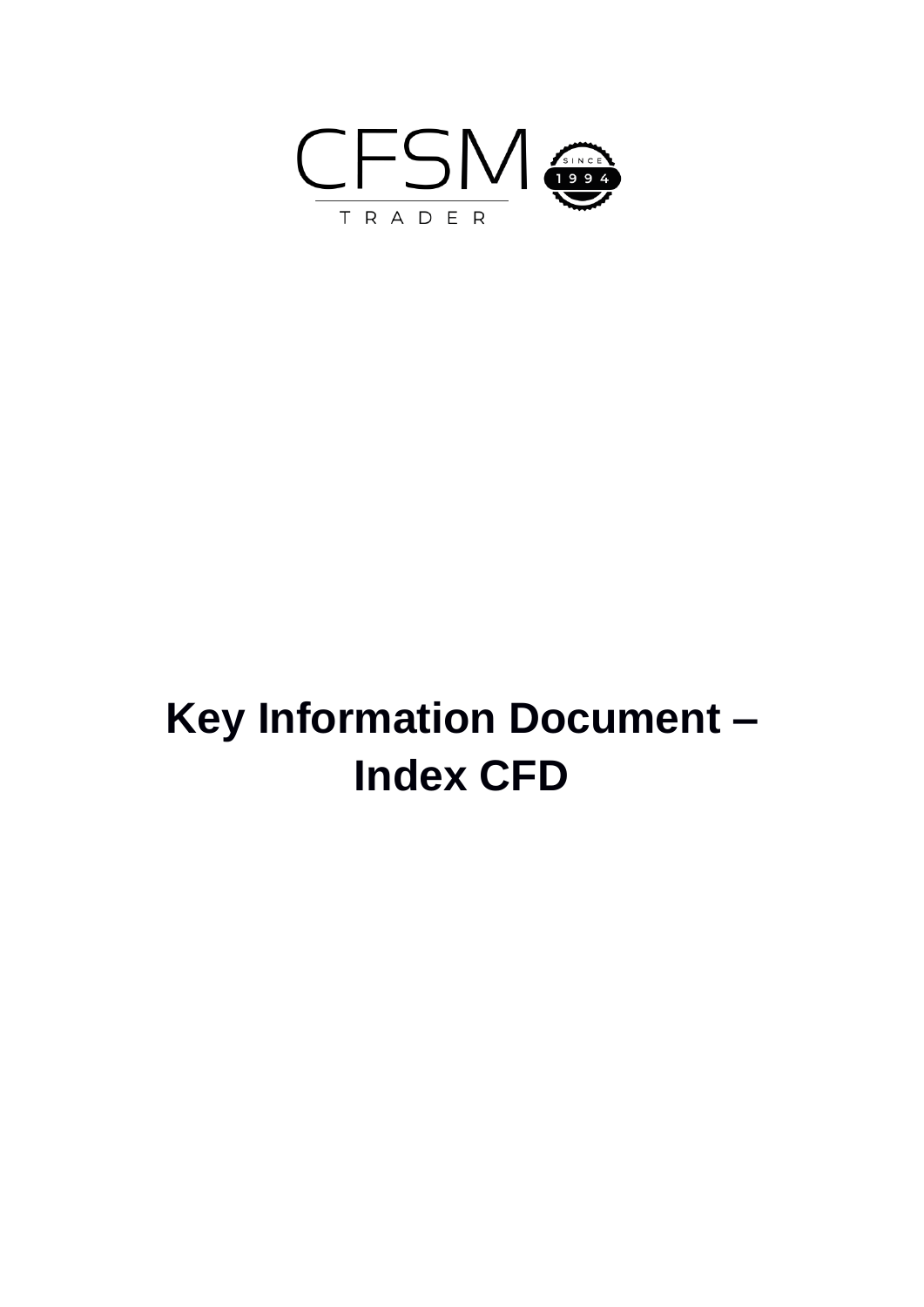

# **Key Information Document – Index CFD**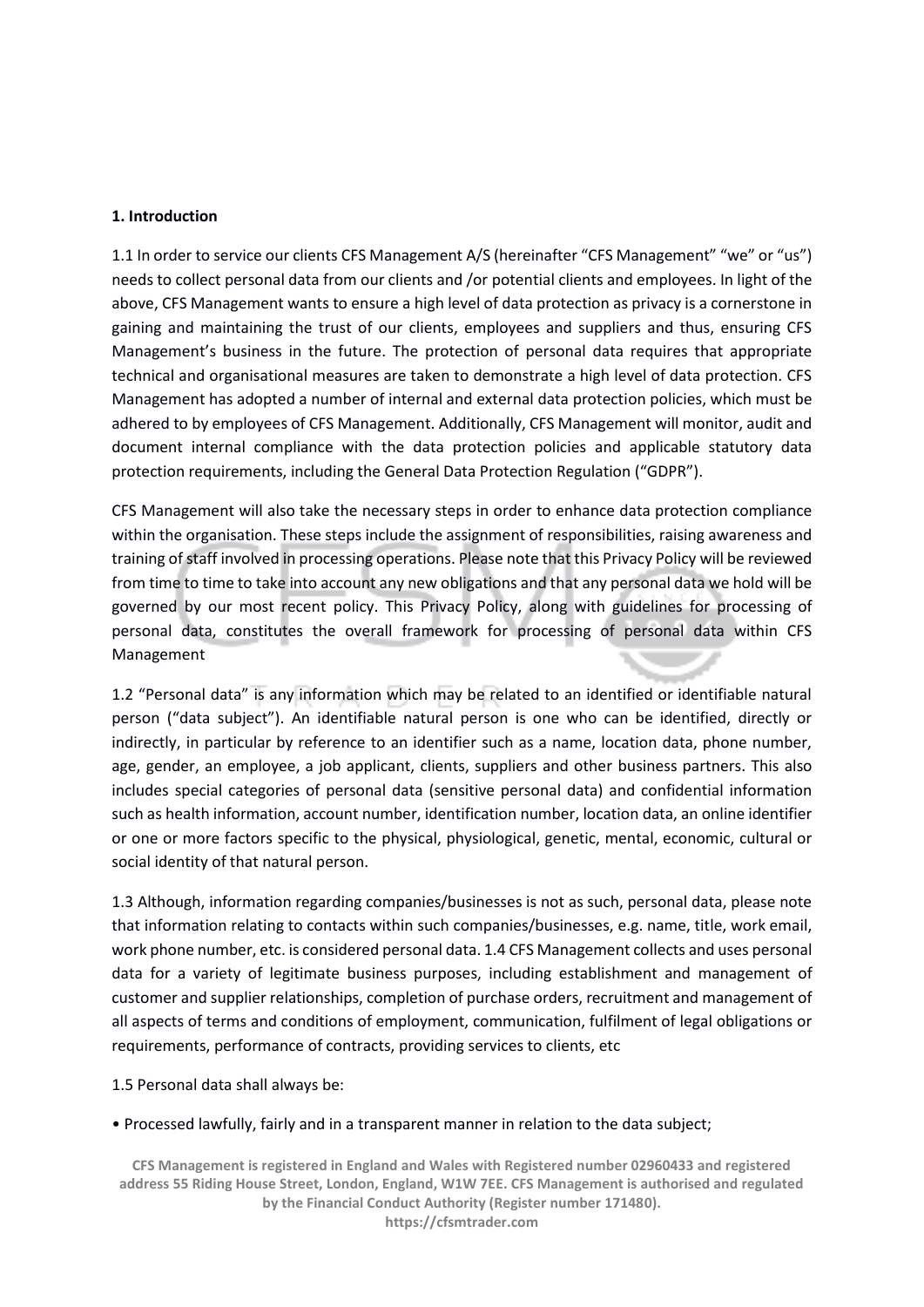#### **1. Introduction**

1.1 In order to service our clients CFS Management A/S (hereinafter "CFS Management" "we" or "us") needs to collect personal data from our clients and /or potential clients and employees. In light of the above, CFS Management wants to ensure a high level of data protection as privacy is a cornerstone in gaining and maintaining the trust of our clients, employees and suppliers and thus, ensuring CFS Management's business in the future. The protection of personal data requires that appropriate technical and organisational measures are taken to demonstrate a high level of data protection. CFS Management has adopted a number of internal and external data protection policies, which must be adhered to by employees of CFS Management. Additionally, CFS Management will monitor, audit and document internal compliance with the data protection policies and applicable statutory data protection requirements, including the General Data Protection Regulation ("GDPR").

CFS Management will also take the necessary steps in order to enhance data protection compliance within the organisation. These steps include the assignment of responsibilities, raising awareness and training of staff involved in processing operations. Please note that this Privacy Policy will be reviewed from time to time to take into account any new obligations and that any personal data we hold will be governed by our most recent policy. This Privacy Policy, along with guidelines for processing of personal data, constitutes the overall framework for processing of personal data within CFS Management

1.2 "Personal data" is any information which may be related to an identified or identifiable natural person ("data subject"). An identifiable natural person is one who can be identified, directly or indirectly, in particular by reference to an identifier such as a name, location data, phone number, age, gender, an employee, a job applicant, clients, suppliers and other business partners. This also includes special categories of personal data (sensitive personal data) and confidential information such as health information, account number, identification number, location data, an online identifier or one or more factors specific to the physical, physiological, genetic, mental, economic, cultural or social identity of that natural person.

1.3 Although, information regarding companies/businesses is not as such, personal data, please note that information relating to contacts within such companies/businesses, e.g. name, title, work email, work phone number, etc. is considered personal data. 1.4 CFS Management collects and uses personal data for a variety of legitimate business purposes, including establishment and management of customer and supplier relationships, completion of purchase orders, recruitment and management of all aspects of terms and conditions of employment, communication, fulfilment of legal obligations or requirements, performance of contracts, providing services to clients, etc

1.5 Personal data shall always be:

#### • Processed lawfully, fairly and in a transparent manner in relation to the data subject;

**CFS Management is registered in England and Wales with Registered number 02960433 and registered address 55 Riding House Street, London, England, W1W 7EE. CFS Management is authorised and regulated by the Financial Conduct Authority (Register number 171480). https://cfsmtrader.com**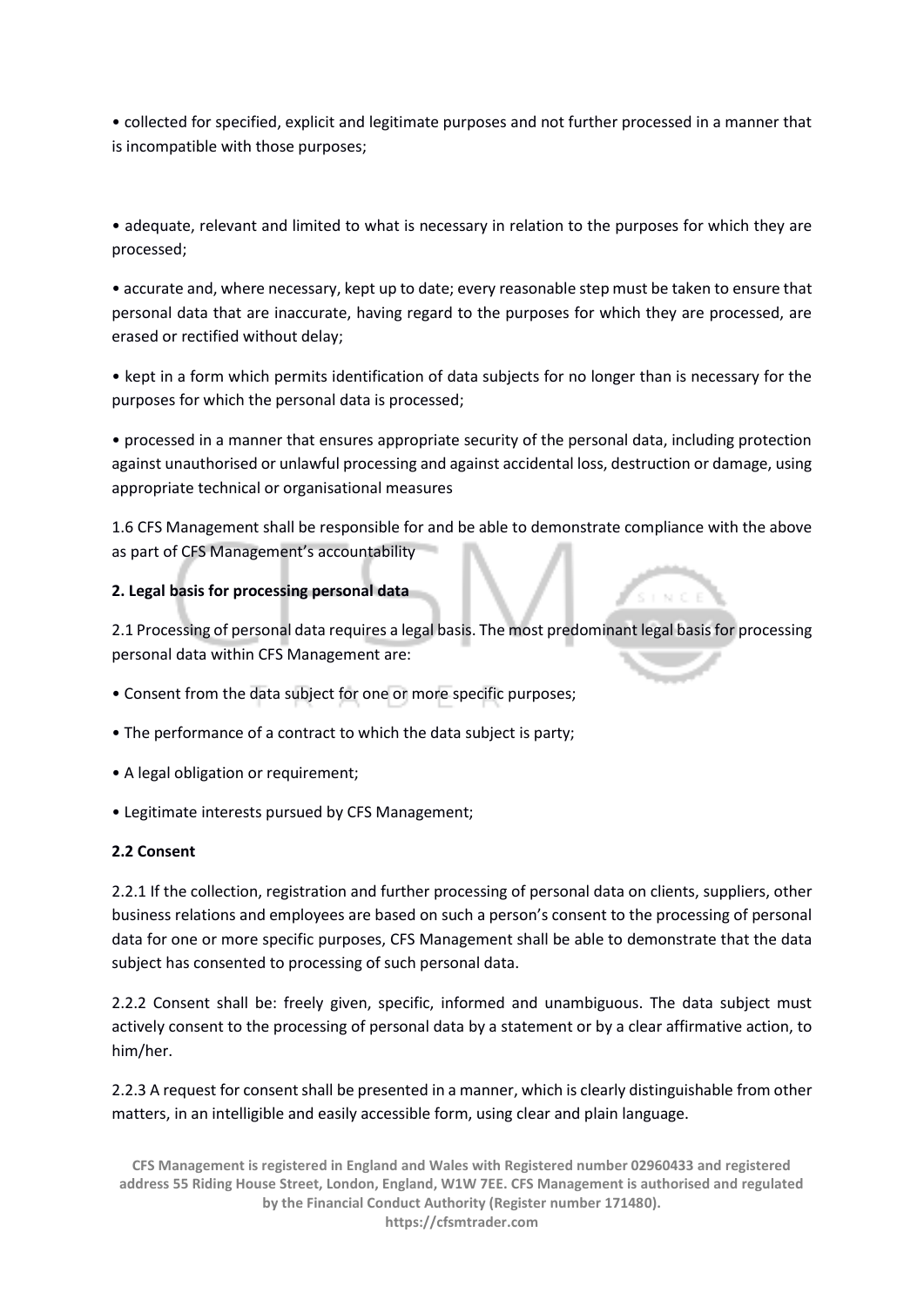• collected for specified, explicit and legitimate purposes and not further processed in a manner that is incompatible with those purposes;

• adequate, relevant and limited to what is necessary in relation to the purposes for which they are processed;

• accurate and, where necessary, kept up to date; every reasonable step must be taken to ensure that personal data that are inaccurate, having regard to the purposes for which they are processed, are erased or rectified without delay;

• kept in a form which permits identification of data subjects for no longer than is necessary for the purposes for which the personal data is processed;

• processed in a manner that ensures appropriate security of the personal data, including protection against unauthorised or unlawful processing and against accidental loss, destruction or damage, using appropriate technical or organisational measures

1.6 CFS Management shall be responsible for and be able to demonstrate compliance with the above as part of CFS Management's accountability

### **2. Legal basis for processing personal data**

2.1 Processing of personal data requires a legal basis. The most predominant legal basis for processing personal data within CFS Management are:

- Consent from the data subject for one or more specific purposes;
- The performance of a contract to which the data subject is party;
- A legal obligation or requirement;
- Legitimate interests pursued by CFS Management;

#### **2.2 Consent**

2.2.1 If the collection, registration and further processing of personal data on clients, suppliers, other business relations and employees are based on such a person's consent to the processing of personal data for one or more specific purposes, CFS Management shall be able to demonstrate that the data subject has consented to processing of such personal data.

2.2.2 Consent shall be: freely given, specific, informed and unambiguous. The data subject must actively consent to the processing of personal data by a statement or by a clear affirmative action, to him/her.

2.2.3 A request for consent shall be presented in a manner, which is clearly distinguishable from other matters, in an intelligible and easily accessible form, using clear and plain language.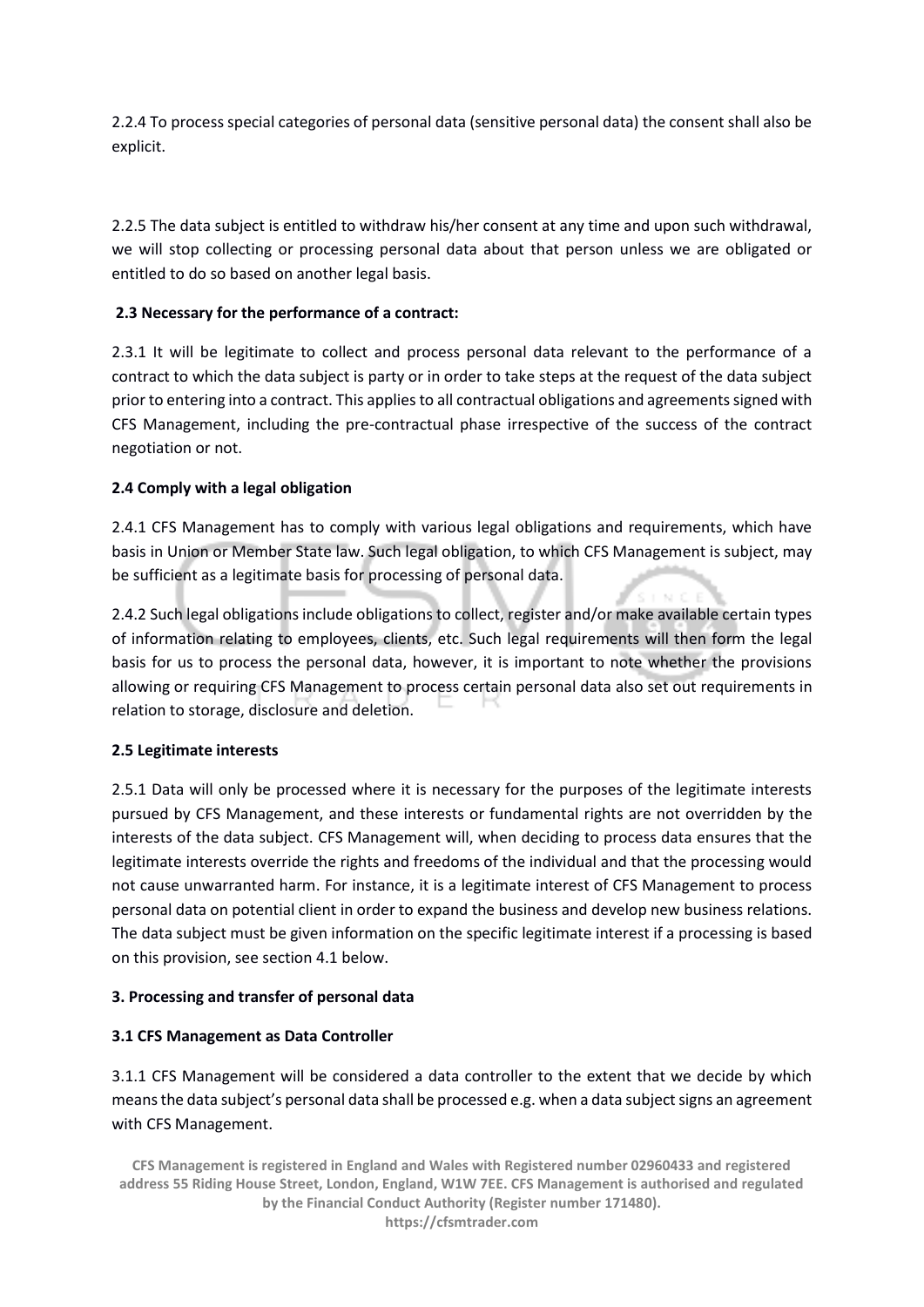2.2.4 To process special categories of personal data (sensitive personal data) the consent shall also be explicit.

2.2.5 The data subject is entitled to withdraw his/her consent at any time and upon such withdrawal, we will stop collecting or processing personal data about that person unless we are obligated or entitled to do so based on another legal basis.

## **2.3 Necessary for the performance of a contract:**

2.3.1 It will be legitimate to collect and process personal data relevant to the performance of a contract to which the data subject is party or in order to take steps at the request of the data subject prior to entering into a contract. This applies to all contractual obligations and agreements signed with CFS Management, including the pre-contractual phase irrespective of the success of the contract negotiation or not.

## **2.4 Comply with a legal obligation**

2.4.1 CFS Management has to comply with various legal obligations and requirements, which have basis in Union or Member State law. Such legal obligation, to which CFS Management is subject, may be sufficient as a legitimate basis for processing of personal data.

2.4.2 Such legal obligations include obligations to collect, register and/or make available certain types of information relating to employees, clients, etc. Such legal requirements will then form the legal basis for us to process the personal data, however, it is important to note whether the provisions allowing or requiring CFS Management to process certain personal data also set out requirements in relation to storage, disclosure and deletion.

## **2.5 Legitimate interests**

2.5.1 Data will only be processed where it is necessary for the purposes of the legitimate interests pursued by CFS Management, and these interests or fundamental rights are not overridden by the interests of the data subject. CFS Management will, when deciding to process data ensures that the legitimate interests override the rights and freedoms of the individual and that the processing would not cause unwarranted harm. For instance, it is a legitimate interest of CFS Management to process personal data on potential client in order to expand the business and develop new business relations. The data subject must be given information on the specific legitimate interest if a processing is based on this provision, see section 4.1 below.

## **3. Processing and transfer of personal data**

## **3.1 CFS Management as Data Controller**

3.1.1 CFS Management will be considered a data controller to the extent that we decide by which means the data subject's personal data shall be processed e.g. when a data subject signs an agreement with CFS Management.

**CFS Management is registered in England and Wales with Registered number 02960433 and registered address 55 Riding House Street, London, England, W1W 7EE. CFS Management is authorised and regulated by the Financial Conduct Authority (Register number 171480). https://cfsmtrader.com**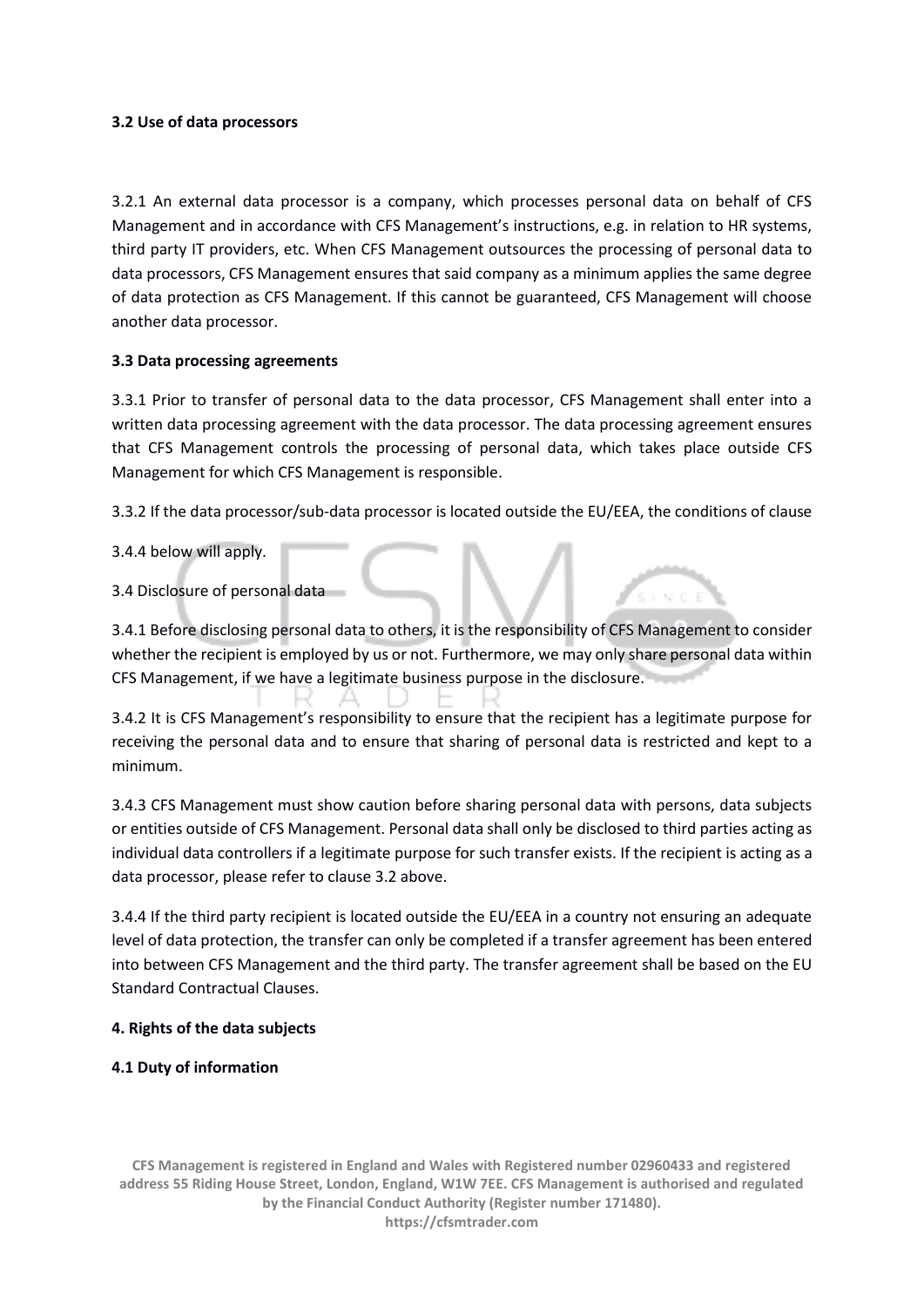#### **3.2 Use of data processors**

3.2.1 An external data processor is a company, which processes personal data on behalf of CFS Management and in accordance with CFS Management's instructions, e.g. in relation to HR systems, third party IT providers, etc. When CFS Management outsources the processing of personal data to data processors, CFS Management ensures that said company as a minimum applies the same degree of data protection as CFS Management. If this cannot be guaranteed, CFS Management will choose another data processor.

### **3.3 Data processing agreements**

3.3.1 Prior to transfer of personal data to the data processor, CFS Management shall enter into a written data processing agreement with the data processor. The data processing agreement ensures that CFS Management controls the processing of personal data, which takes place outside CFS Management for which CFS Management is responsible.

3.3.2 If the data processor/sub-data processor is located outside the EU/EEA, the conditions of clause

3.4.4 below will apply.

3.4 Disclosure of personal data

3.4.1 Before disclosing personal data to others, it is the responsibility of CFS Management to consider whether the recipient is employed by us or not. Furthermore, we may only share personal data within CFS Management, if we have a legitimate business purpose in the disclosure.

3.4.2 It is CFS Management's responsibility to ensure that the recipient has a legitimate purpose for receiving the personal data and to ensure that sharing of personal data is restricted and kept to a minimum.

3.4.3 CFS Management must show caution before sharing personal data with persons, data subjects or entities outside of CFS Management. Personal data shall only be disclosed to third parties acting as individual data controllers if a legitimate purpose for such transfer exists. If the recipient is acting as a data processor, please refer to clause 3.2 above.

3.4.4 If the third party recipient is located outside the EU/EEA in a country not ensuring an adequate level of data protection, the transfer can only be completed if a transfer agreement has been entered into between CFS Management and the third party. The transfer agreement shall be based on the EU Standard Contractual Clauses.

#### **4. Rights of the data subjects**

## **4.1 Duty of information**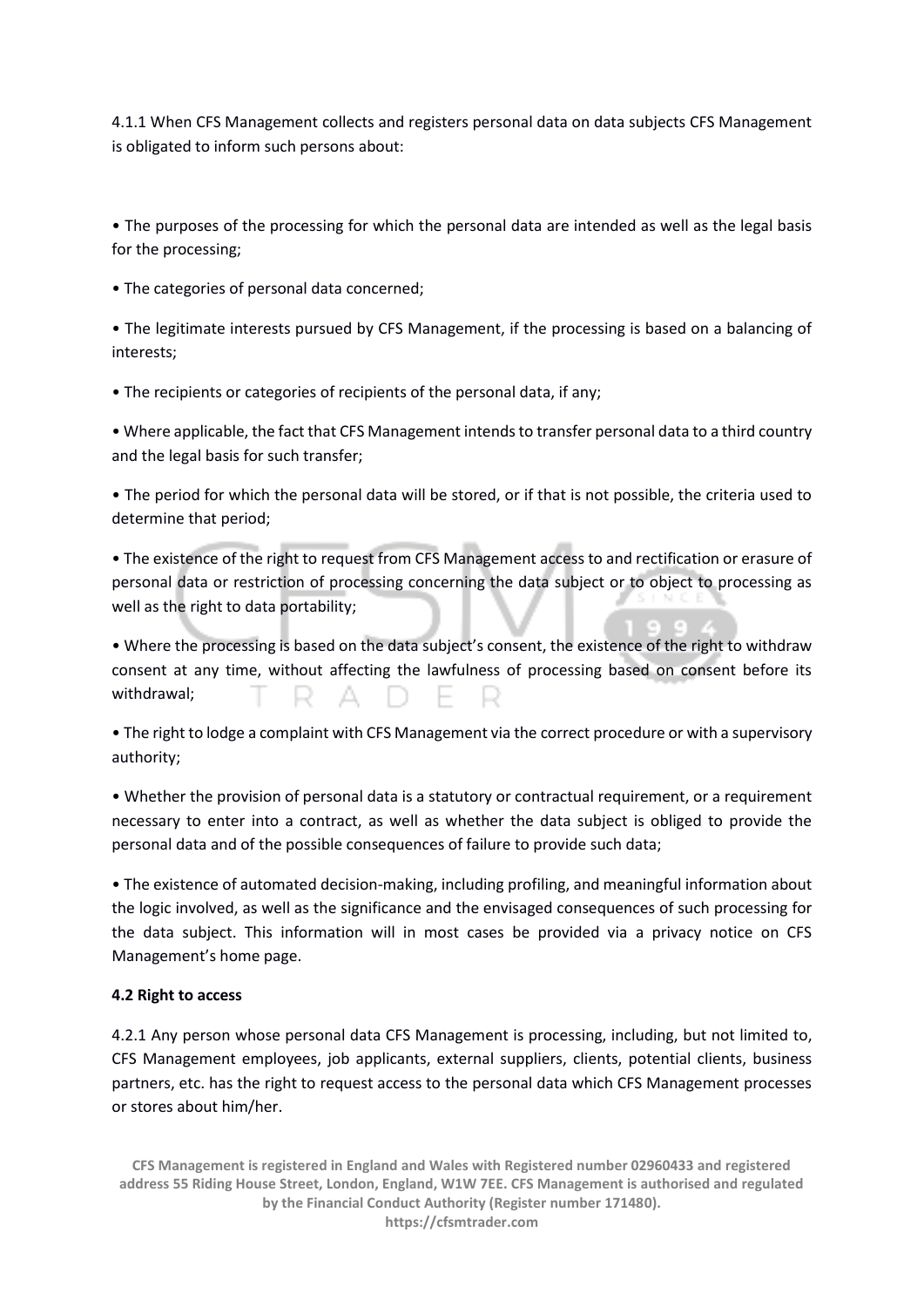4.1.1 When CFS Management collects and registers personal data on data subjects CFS Management is obligated to inform such persons about:

• The purposes of the processing for which the personal data are intended as well as the legal basis for the processing;

• The categories of personal data concerned;

• The legitimate interests pursued by CFS Management, if the processing is based on a balancing of interests;

• The recipients or categories of recipients of the personal data, if any;

• Where applicable, the fact that CFS Management intends to transfer personal data to a third country and the legal basis for such transfer;

• The period for which the personal data will be stored, or if that is not possible, the criteria used to determine that period;

• The existence of the right to request from CFS Management access to and rectification or erasure of personal data or restriction of processing concerning the data subject or to object to processing as well as the right to data portability;

• Where the processing is based on the data subject's consent, the existence of the right to withdraw consent at any time, without affecting the lawfulness of processing based on consent before its withdrawal;

• The right to lodge a complaint with CFS Management via the correct procedure or with a supervisory authority;

• Whether the provision of personal data is a statutory or contractual requirement, or a requirement necessary to enter into a contract, as well as whether the data subject is obliged to provide the personal data and of the possible consequences of failure to provide such data;

• The existence of automated decision-making, including profiling, and meaningful information about the logic involved, as well as the significance and the envisaged consequences of such processing for the data subject. This information will in most cases be provided via a privacy notice on CFS Management's home page.

#### **4.2 Right to access**

4.2.1 Any person whose personal data CFS Management is processing, including, but not limited to, CFS Management employees, job applicants, external suppliers, clients, potential clients, business partners, etc. has the right to request access to the personal data which CFS Management processes or stores about him/her.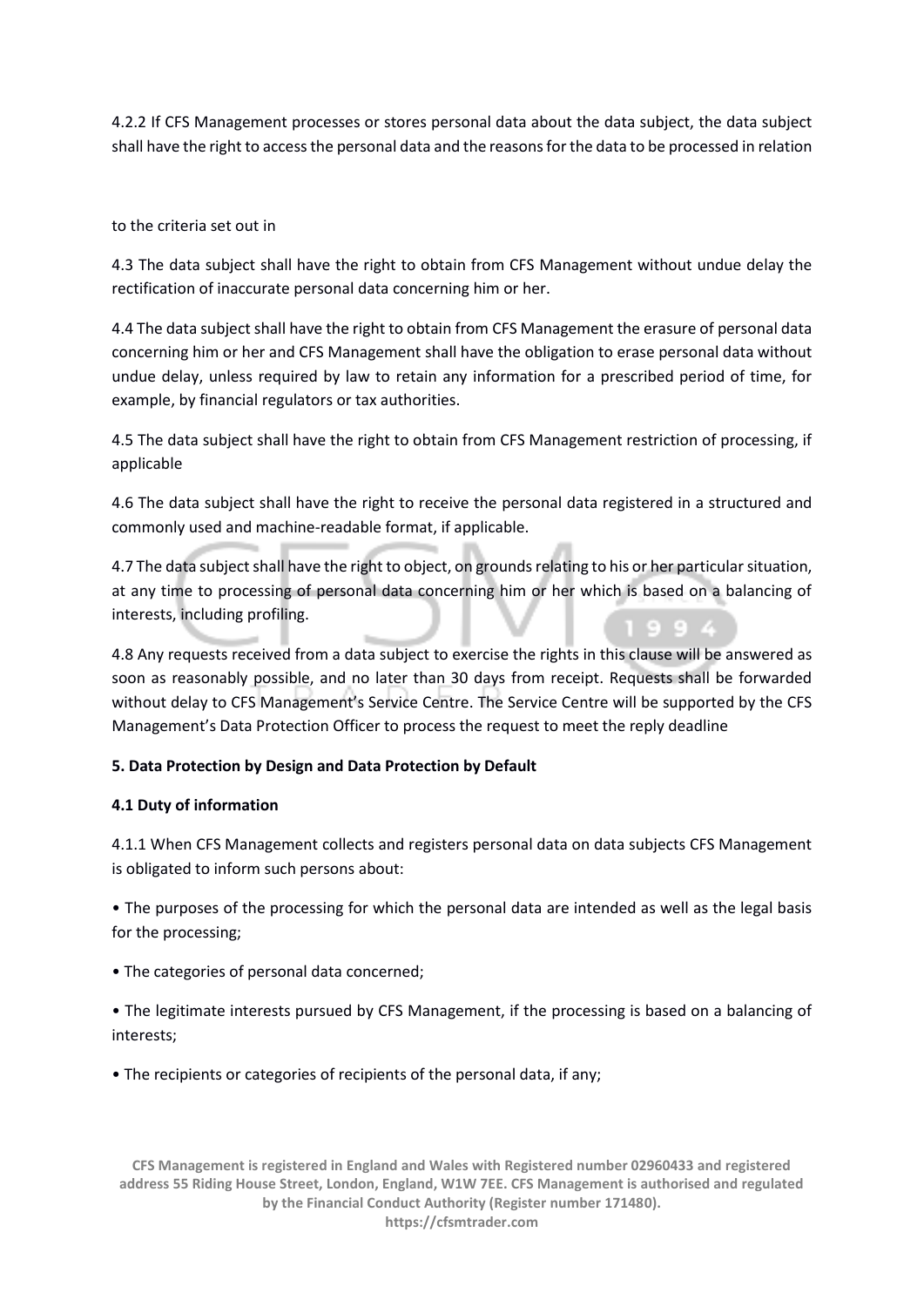4.2.2 If CFS Management processes or stores personal data about the data subject, the data subject shall have the right to access the personal data and the reasons for the data to be processed in relation

to the criteria set out in

4.3 The data subject shall have the right to obtain from CFS Management without undue delay the rectification of inaccurate personal data concerning him or her.

4.4 The data subject shall have the right to obtain from CFS Management the erasure of personal data concerning him or her and CFS Management shall have the obligation to erase personal data without undue delay, unless required by law to retain any information for a prescribed period of time, for example, by financial regulators or tax authorities.

4.5 The data subject shall have the right to obtain from CFS Management restriction of processing, if applicable

4.6 The data subject shall have the right to receive the personal data registered in a structured and commonly used and machine-readable format, if applicable.

4.7 The data subject shall have the right to object, on grounds relating to his or her particular situation, at any time to processing of personal data concerning him or her which is based on a balancing of interests, including profiling.

4.8 Any requests received from a data subject to exercise the rights in this clause will be answered as soon as reasonably possible, and no later than 30 days from receipt. Requests shall be forwarded without delay to CFS Management's Service Centre. The Service Centre will be supported by the CFS Management's Data Protection Officer to process the request to meet the reply deadline

## **5. Data Protection by Design and Data Protection by Default**

## **4.1 Duty of information**

4.1.1 When CFS Management collects and registers personal data on data subjects CFS Management is obligated to inform such persons about:

• The purposes of the processing for which the personal data are intended as well as the legal basis for the processing;

• The categories of personal data concerned;

• The legitimate interests pursued by CFS Management, if the processing is based on a balancing of interests;

• The recipients or categories of recipients of the personal data, if any;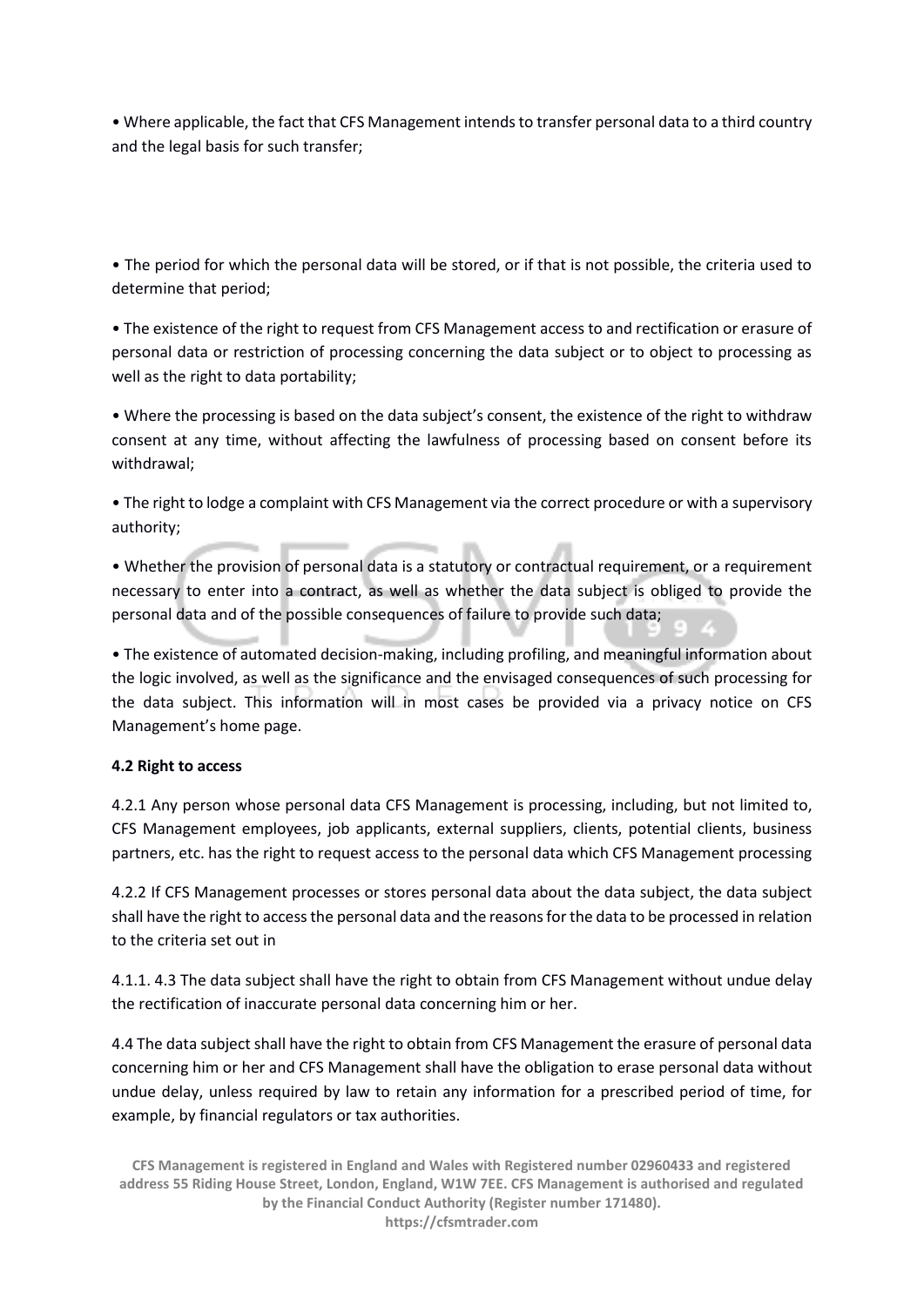• Where applicable, the fact that CFS Management intends to transfer personal data to a third country and the legal basis for such transfer;

• The period for which the personal data will be stored, or if that is not possible, the criteria used to determine that period;

• The existence of the right to request from CFS Management access to and rectification or erasure of personal data or restriction of processing concerning the data subject or to object to processing as well as the right to data portability;

• Where the processing is based on the data subject's consent, the existence of the right to withdraw consent at any time, without affecting the lawfulness of processing based on consent before its withdrawal;

• The right to lodge a complaint with CFS Management via the correct procedure or with a supervisory authority;

• Whether the provision of personal data is a statutory or contractual requirement, or a requirement necessary to enter into a contract, as well as whether the data subject is obliged to provide the personal data and of the possible consequences of failure to provide such data;

• The existence of automated decision-making, including profiling, and meaningful information about the logic involved, as well as the significance and the envisaged consequences of such processing for the data subject. This information will in most cases be provided via a privacy notice on CFS Management's home page.

## **4.2 Right to access**

4.2.1 Any person whose personal data CFS Management is processing, including, but not limited to, CFS Management employees, job applicants, external suppliers, clients, potential clients, business partners, etc. has the right to request access to the personal data which CFS Management processing

4.2.2 If CFS Management processes or stores personal data about the data subject, the data subject shall have the right to access the personal data and the reasons for the data to be processed in relation to the criteria set out in

4.1.1. 4.3 The data subject shall have the right to obtain from CFS Management without undue delay the rectification of inaccurate personal data concerning him or her.

4.4 The data subject shall have the right to obtain from CFS Management the erasure of personal data concerning him or her and CFS Management shall have the obligation to erase personal data without undue delay, unless required by law to retain any information for a prescribed period of time, for example, by financial regulators or tax authorities.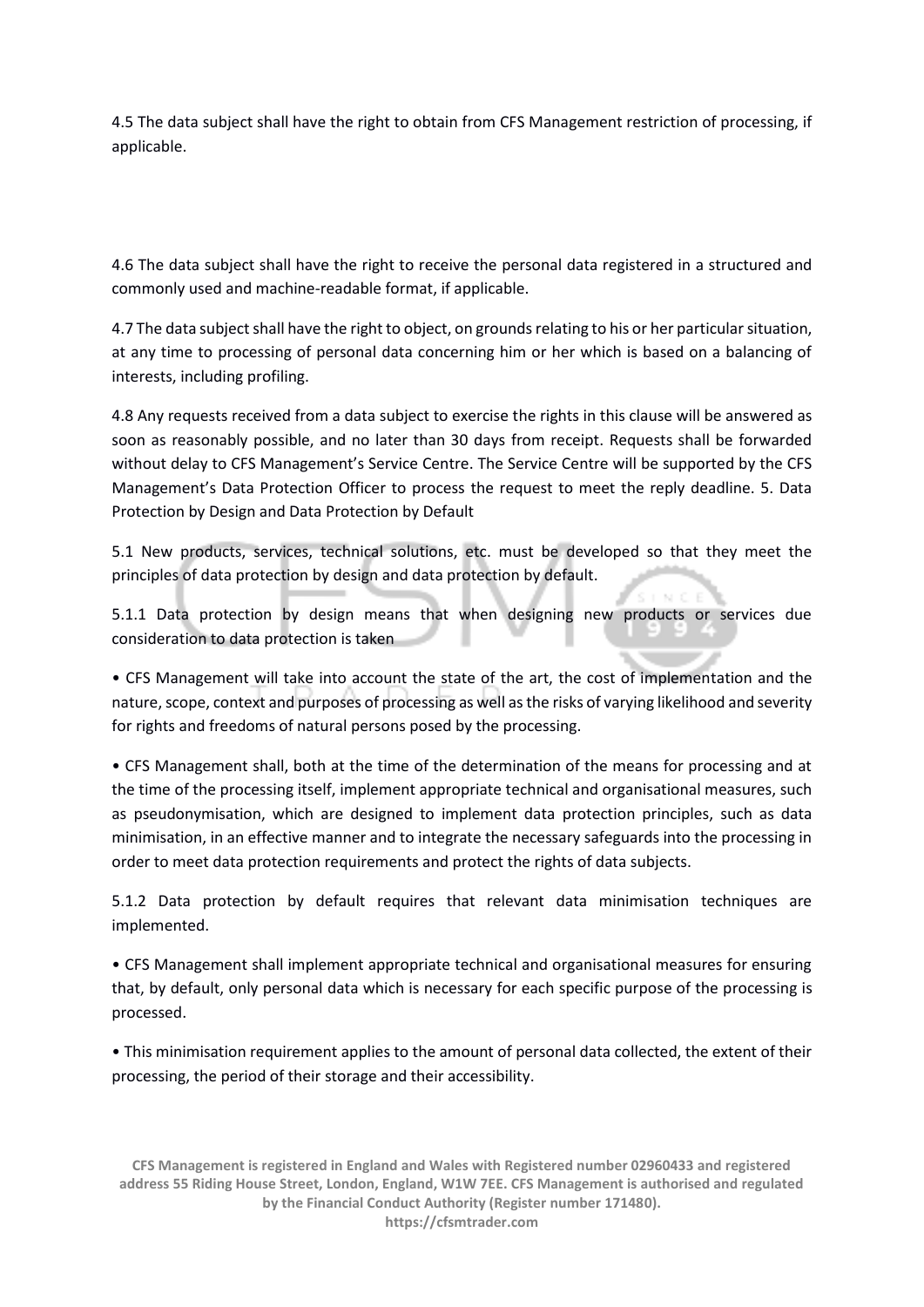4.5 The data subject shall have the right to obtain from CFS Management restriction of processing, if applicable.

4.6 The data subject shall have the right to receive the personal data registered in a structured and commonly used and machine-readable format, if applicable.

4.7 The data subject shall have the right to object, on grounds relating to his or her particular situation, at any time to processing of personal data concerning him or her which is based on a balancing of interests, including profiling.

4.8 Any requests received from a data subject to exercise the rights in this clause will be answered as soon as reasonably possible, and no later than 30 days from receipt. Requests shall be forwarded without delay to CFS Management's Service Centre. The Service Centre will be supported by the CFS Management's Data Protection Officer to process the request to meet the reply deadline. 5. Data Protection by Design and Data Protection by Default

5.1 New products, services, technical solutions, etc. must be developed so that they meet the principles of data protection by design and data protection by default.

5.1.1 Data protection by design means that when designing new products or services due consideration to data protection is taken

• CFS Management will take into account the state of the art, the cost of implementation and the nature, scope, context and purposes of processing as well as the risks of varying likelihood and severity for rights and freedoms of natural persons posed by the processing.

• CFS Management shall, both at the time of the determination of the means for processing and at the time of the processing itself, implement appropriate technical and organisational measures, such as pseudonymisation, which are designed to implement data protection principles, such as data minimisation, in an effective manner and to integrate the necessary safeguards into the processing in order to meet data protection requirements and protect the rights of data subjects.

5.1.2 Data protection by default requires that relevant data minimisation techniques are implemented.

• CFS Management shall implement appropriate technical and organisational measures for ensuring that, by default, only personal data which is necessary for each specific purpose of the processing is processed.

• This minimisation requirement applies to the amount of personal data collected, the extent of their processing, the period of their storage and their accessibility.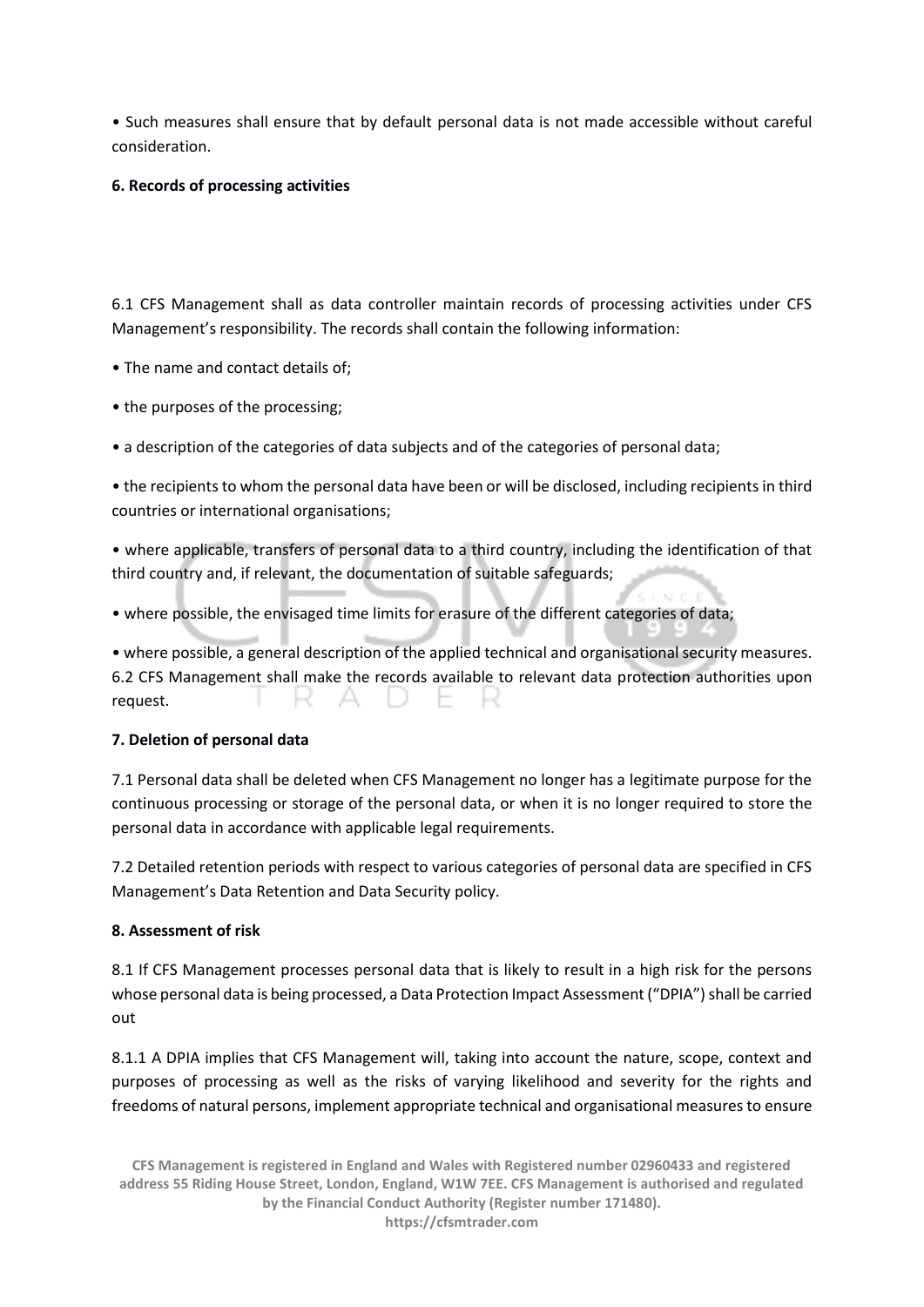• Such measures shall ensure that by default personal data is not made accessible without careful consideration.

## **6. Records of processing activities**

6.1 CFS Management shall as data controller maintain records of processing activities under CFS Management's responsibility. The records shall contain the following information:

- The name and contact details of;
- the purposes of the processing;
- a description of the categories of data subjects and of the categories of personal data;

• the recipients to whom the personal data have been or will be disclosed, including recipients in third countries or international organisations;

• where applicable, transfers of personal data to a third country, including the identification of that third country and, if relevant, the documentation of suitable safeguards;

• where possible, the envisaged time limits for erasure of the different categories of data;

• where possible, a general description of the applied technical and organisational security measures. 6.2 CFS Management shall make the records available to relevant data protection authorities upon request. AD F - 2 **Section** 

## **7. Deletion of personal data**

7.1 Personal data shall be deleted when CFS Management no longer has a legitimate purpose for the continuous processing or storage of the personal data, or when it is no longer required to store the personal data in accordance with applicable legal requirements.

7.2 Detailed retention periods with respect to various categories of personal data are specified in CFS Management's Data Retention and Data Security policy.

## **8. Assessment of risk**

8.1 If CFS Management processes personal data that is likely to result in a high risk for the persons whose personal data is being processed, a Data Protection Impact Assessment ("DPIA") shall be carried out

8.1.1 A DPIA implies that CFS Management will, taking into account the nature, scope, context and purposes of processing as well as the risks of varying likelihood and severity for the rights and freedoms of natural persons, implement appropriate technical and organisational measures to ensure